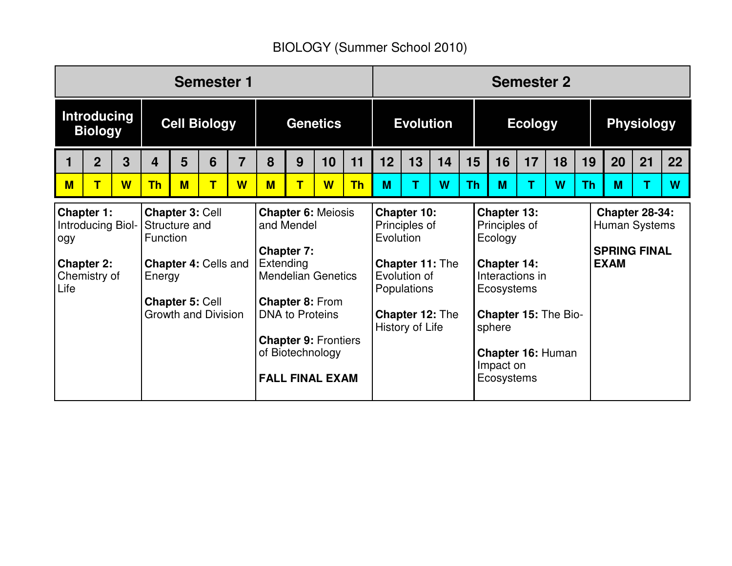## BIOLOGY (Summer School 2010)

| <b>Semester 1</b>                                                                          |                |                                                                                                                                                                                                                                                                                                                                                                                                 |           |   | <b>Semester 2</b> |                 |                                                                                |                                                  |                  |                                                                                                                                                                                                |    |                |    |                                                                              |    |                   |    |           |    |    |    |
|--------------------------------------------------------------------------------------------|----------------|-------------------------------------------------------------------------------------------------------------------------------------------------------------------------------------------------------------------------------------------------------------------------------------------------------------------------------------------------------------------------------------------------|-----------|---|-------------------|-----------------|--------------------------------------------------------------------------------|--------------------------------------------------|------------------|------------------------------------------------------------------------------------------------------------------------------------------------------------------------------------------------|----|----------------|----|------------------------------------------------------------------------------|----|-------------------|----|-----------|----|----|----|
| <b>Introducing</b><br><b>Biology</b>                                                       |                | <b>Cell Biology</b>                                                                                                                                                                                                                                                                                                                                                                             |           |   |                   | <b>Genetics</b> |                                                                                |                                                  | <b>Evolution</b> |                                                                                                                                                                                                |    | <b>Ecology</b> |    |                                                                              |    | <b>Physiology</b> |    |           |    |    |    |
|                                                                                            | $\overline{2}$ | 3                                                                                                                                                                                                                                                                                                                                                                                               | 4         | 5 | 6                 | $\overline{7}$  | 8                                                                              | 9                                                | 10               | 11                                                                                                                                                                                             | 12 | 13             | 14 | 15                                                                           | 16 | 17                | 18 | 19        | 20 | 21 | 22 |
| $M$                                                                                        | $\mathsf T$    | W                                                                                                                                                                                                                                                                                                                                                                                               | <b>Th</b> | M | T                 | W               | M                                                                              | $\mathbf T$                                      | W                | <b>Th</b>                                                                                                                                                                                      | M  | т              | W  | <b>Th</b>                                                                    | M  | т                 | W  | <b>Th</b> | M  |    | W  |
| <b>Chapter 1:</b><br>Introducing Biol-<br>ogy<br><b>Chapter 2:</b><br>Chemistry of<br>Life |                | <b>Chapter 3: Cell</b><br><b>Chapter 6: Meiosis</b><br>Structure and<br>and Mendel<br>Function<br><b>Chapter 7:</b><br>Extending<br><b>Chapter 4: Cells and</b><br><b>Mendelian Genetics</b><br>Energy<br><b>Chapter 8: From</b><br><b>Chapter 5: Cell</b><br><b>Growth and Division</b><br><b>DNA to Proteins</b><br><b>Chapter 9: Frontiers</b><br>of Biotechnology<br><b>FALL FINAL EXAM</b> |           |   |                   | Evolution       | Chapter 10:<br>Principles of<br>Evolution of<br>Populations<br>History of Life | <b>Chapter 11: The</b><br><b>Chapter 12: The</b> |                  | <b>Chapter 13:</b><br>Principles of<br>Ecology<br>Chapter 14:<br>Interactions in<br>Ecosystems<br><b>Chapter 15: The Bio-</b><br>sphere<br><b>Chapter 16: Human</b><br>Impact on<br>Ecosystems |    |                |    | <b>Chapter 28-34:</b><br>Human Systems<br><b>SPRING FINAL</b><br><b>EXAM</b> |    |                   |    |           |    |    |    |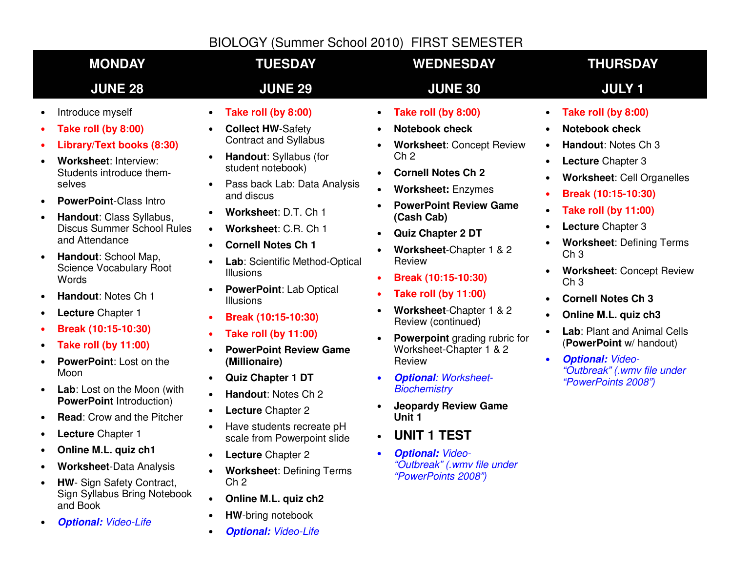### BIOLOGY (Summer School 2010) FIRST SEMESTER

| <b>MONDAY</b>                                                                                                                                                                                                                                                                                                                                                                                                                                                                                                                                                                                                                                                                                                                  | <b>TUESDAY</b>                                                                                                                                                                                                                                                                                                                                                                                                                                                                                                                                                                                                                                                                                                                                                            | <b>WEDNESDAY</b>                                                                                                                                                                                                                                                                                                                                                                                                                                                                                                                                                                                                                                                                                      | <b>THURSDAY</b>                                                                                                                                                                                                                                                                                                                                                                                                                                                                                                                                                                                                         |
|--------------------------------------------------------------------------------------------------------------------------------------------------------------------------------------------------------------------------------------------------------------------------------------------------------------------------------------------------------------------------------------------------------------------------------------------------------------------------------------------------------------------------------------------------------------------------------------------------------------------------------------------------------------------------------------------------------------------------------|---------------------------------------------------------------------------------------------------------------------------------------------------------------------------------------------------------------------------------------------------------------------------------------------------------------------------------------------------------------------------------------------------------------------------------------------------------------------------------------------------------------------------------------------------------------------------------------------------------------------------------------------------------------------------------------------------------------------------------------------------------------------------|-------------------------------------------------------------------------------------------------------------------------------------------------------------------------------------------------------------------------------------------------------------------------------------------------------------------------------------------------------------------------------------------------------------------------------------------------------------------------------------------------------------------------------------------------------------------------------------------------------------------------------------------------------------------------------------------------------|-------------------------------------------------------------------------------------------------------------------------------------------------------------------------------------------------------------------------------------------------------------------------------------------------------------------------------------------------------------------------------------------------------------------------------------------------------------------------------------------------------------------------------------------------------------------------------------------------------------------------|
| <b>JUNE 28</b>                                                                                                                                                                                                                                                                                                                                                                                                                                                                                                                                                                                                                                                                                                                 | <b>JUNE 29</b>                                                                                                                                                                                                                                                                                                                                                                                                                                                                                                                                                                                                                                                                                                                                                            | <b>JUNE 30</b>                                                                                                                                                                                                                                                                                                                                                                                                                                                                                                                                                                                                                                                                                        | <b>JULY 1</b>                                                                                                                                                                                                                                                                                                                                                                                                                                                                                                                                                                                                           |
| Introduce myself<br>Take roll (by 8:00)<br>Library/Text books (8:30)<br>Worksheet: Interview:<br>Students introduce them-<br>selves<br><b>PowerPoint-Class Intro</b><br>Handout: Class Syllabus,<br><b>Discus Summer School Rules</b><br>and Attendance<br>Handout: School Map,<br>Science Vocabulary Root<br>Words<br>Handout: Notes Ch 1<br>Lecture Chapter 1<br>Break (10:15-10:30)<br><b>Take roll (by 11:00)</b><br>PowerPoint: Lost on the<br>Moon<br>Lab: Lost on the Moon (with<br><b>PowerPoint Introduction)</b><br><b>Read:</b> Crow and the Pitcher<br>Lecture Chapter 1<br>Online M.L. quiz ch1<br><b>Worksheet-Data Analysis</b><br><b>HW-</b> Sign Safety Contract,<br>Sign Syllabus Bring Notebook<br>and Book | Take roll (by 8:00)<br><b>Collect HW-Safety</b><br><b>Contract and Syllabus</b><br>Handout: Syllabus (for<br>student notebook)<br>Pass back Lab: Data Analysis<br>and discus<br>Worksheet: D.T. Ch 1<br>Worksheet: C.R. Ch 1<br>$\bullet$<br><b>Cornell Notes Ch 1</b><br>Lab: Scientific Method-Optical<br>$\bullet$<br><b>Illusions</b><br><b>PowerPoint: Lab Optical</b><br><b>Illusions</b><br>Break (10:15-10:30)<br><b>Take roll (by 11:00)</b><br><b>PowerPoint Review Game</b><br>(Millionaire)<br><b>Quiz Chapter 1 DT</b><br>$\bullet$<br>Handout: Notes Ch 2<br>$\bullet$<br>Lecture Chapter 2<br>Have students recreate pH<br>scale from Powerpoint slide<br>Lecture Chapter 2<br><b>Worksheet: Defining Terms</b><br>Ch <sub>2</sub><br>Online M.L. quiz ch2 | Take roll (by 8:00)<br><b>Notebook check</b><br><b>Worksheet: Concept Review</b><br>Ch <sub>2</sub><br><b>Cornell Notes Ch 2</b><br>$\bullet$<br><b>Worksheet: Enzymes</b><br><b>PowerPoint Review Game</b><br>(Cash Cab)<br>Quiz Chapter 2 DT<br>Worksheet-Chapter 1 & 2<br>Review<br>Break (10:15-10:30)<br><b>Take roll (by 11:00)</b><br>Worksheet-Chapter 1 & 2<br>Review (continued)<br><b>Powerpoint</b> grading rubric for<br>Worksheet-Chapter 1 & 2<br>Review<br><b>Optional: Worksheet-</b><br><b>Biochemistry</b><br><b>Jeopardy Review Game</b><br>Unit <sub>1</sub><br><b>UNIT 1 TEST</b><br>$\bullet$<br><b>Optional: Video-</b><br>"Outbreak" (.wmv file under<br>"PowerPoints 2008") | Take roll (by 8:00)<br><b>Notebook check</b><br>Handout: Notes Ch 3<br>$\bullet$<br>Lecture Chapter 3<br>$\bullet$<br>Worksheet: Cell Organelles<br>Break (10:15-10:30)<br>$\bullet$<br><b>Take roll (by 11:00)</b><br>$\bullet$<br>Lecture Chapter 3<br><b>Worksheet: Defining Terms</b><br>Ch <sub>3</sub><br><b>Worksheet: Concept Review</b><br>Ch <sub>3</sub><br><b>Cornell Notes Ch 3</b><br>$\bullet$<br>Online M.L. quiz ch3<br>$\bullet$<br>Lab: Plant and Animal Cells<br>$\bullet$<br>(PowerPoint w/ handout)<br><b>Optional: Video-</b><br>$\bullet$<br>"Outbreak" (.wmv file under<br>"PowerPoints 2008") |
| $\bigcap_{i=1}^{n} H_{i}$ and $H_{i}$ $\bigcup_{i=1}^{n} H_{i}$ and $\bigcap_{i=1}^{n} H_{i}$                                                                                                                                                                                                                                                                                                                                                                                                                                                                                                                                                                                                                                  | <b>HW-bring notebook</b><br>$\bullet$                                                                                                                                                                                                                                                                                                                                                                                                                                                                                                                                                                                                                                                                                                                                     |                                                                                                                                                                                                                                                                                                                                                                                                                                                                                                                                                                                                                                                                                                       |                                                                                                                                                                                                                                                                                                                                                                                                                                                                                                                                                                                                                         |

- **Optional:** Video-Life
- **Optional:** Video-Life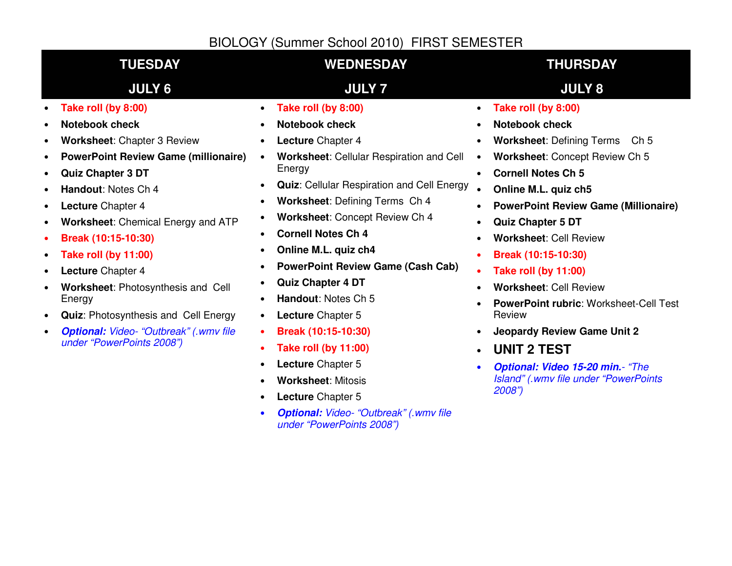#### **TUESDAY WEDNESDAY THURSDAY JULY 6 JULY 7 JULY 8** • **Take roll (by 8:00)**• **Notebook check**• **Worksheet**: Chapter 3 Review • **PowerPoint Review Game (millionaire)** • **Quiz Chapter 3 DT**• **Handout**: Notes Ch 4 • **Lecture** Chapter 4 • **Worksheet**: Chemical Energy and ATP • **Break (10:15-10:30)** • **Take roll (by 11:00)**• **Lecture** Chapter 4 • **Worksheet**: Photosynthesis and Cell Energy • **Quiz**: Photosynthesis and Cell Energy • **Optional:** Video- "Outbreak" (.wmv file under "PowerPoints 2008")• **Take roll (by 8:00)**• **Notebook check**• **Lecture** Chapter 4 • **Worksheet**: Cellular Respiration and Cell Energy • **Quiz**: Cellular Respiration and Cell Energy • **Worksheet**: Defining Terms Ch 4 • **Worksheet**: Concept Review Ch 4 • **Cornell Notes Ch 4**• **Online M.L. quiz ch4** • **PowerPoint Review Game (Cash Cab)** • **Quiz Chapter 4 DT** • **Handout**: Notes Ch 5 • **Lecture** Chapter 5 • **Break (10:15-10:30)** • **Take roll (by 11:00)**• **Lecture** Chapter 5 • **Worksheet**: Mitosis • **Lecture** Chapter 5 • **Optional:** Video- "Outbreak" (.wmv file under "PowerPoints 2008")• **Take roll (by 8:00)**• **Notebook check**• **Worksheet**: Defining Terms Ch 5 • **Worksheet**: Concept Review Ch 5 • **Cornell Notes Ch 5**• **Online M.L. quiz ch5** • **PowerPoint Review Game (Millionaire)** • **Quiz Chapter 5 DT**• **Worksheet**: Cell Review • **Break (10:15-10:30)** • **Take roll (by 11:00)**• **Worksheet**: Cell Review • **PowerPoint rubric**: Worksheet-Cell Test Review • **Jeopardy Review Game Unit 2**• **UNIT 2 TEST** • **Optional: Video 15-20 min.**- "The Island" (.wmv file under "PowerPoints 2008")BIOLOGY (Summer School 2010) FIRST SEMESTER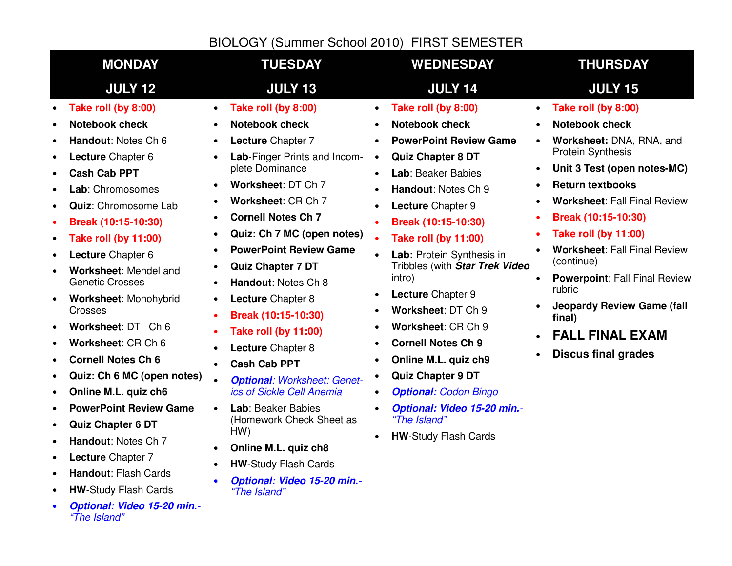#### BIOLOGY (Summer School 2010) FIRST SEMESTER

| <b>MONDAY</b><br><b>TUESDAY</b>                                                                                                                                                                                                                                                                                                                                                                                                                                                                                                                                                                                                                                                                                                                                                                                                                                                                                                                                                                                                                                                                                                                                                                                                                                                                                                                                                                                                                                                                                                                                                                                                          | <b>WEDNESDAY</b>                                                                                                                                                                                                                                                                                                                                                                                                                                                                                                                                                                                                               | <b>THURSDAY</b>                                                                                                                                                                                                                                                                                                                                                                                                                                                                                                               |
|------------------------------------------------------------------------------------------------------------------------------------------------------------------------------------------------------------------------------------------------------------------------------------------------------------------------------------------------------------------------------------------------------------------------------------------------------------------------------------------------------------------------------------------------------------------------------------------------------------------------------------------------------------------------------------------------------------------------------------------------------------------------------------------------------------------------------------------------------------------------------------------------------------------------------------------------------------------------------------------------------------------------------------------------------------------------------------------------------------------------------------------------------------------------------------------------------------------------------------------------------------------------------------------------------------------------------------------------------------------------------------------------------------------------------------------------------------------------------------------------------------------------------------------------------------------------------------------------------------------------------------------|--------------------------------------------------------------------------------------------------------------------------------------------------------------------------------------------------------------------------------------------------------------------------------------------------------------------------------------------------------------------------------------------------------------------------------------------------------------------------------------------------------------------------------------------------------------------------------------------------------------------------------|-------------------------------------------------------------------------------------------------------------------------------------------------------------------------------------------------------------------------------------------------------------------------------------------------------------------------------------------------------------------------------------------------------------------------------------------------------------------------------------------------------------------------------|
| <b>JULY 12</b><br><b>JULY 13</b>                                                                                                                                                                                                                                                                                                                                                                                                                                                                                                                                                                                                                                                                                                                                                                                                                                                                                                                                                                                                                                                                                                                                                                                                                                                                                                                                                                                                                                                                                                                                                                                                         | <b>JULY 14</b>                                                                                                                                                                                                                                                                                                                                                                                                                                                                                                                                                                                                                 | <b>JULY 15</b>                                                                                                                                                                                                                                                                                                                                                                                                                                                                                                                |
| Take roll (by 8:00)<br>Take roll (by 8:00)<br>$\bullet$<br>$\bullet$<br><b>Notebook check</b><br><b>Notebook check</b><br>$\bullet$<br>Handout: Notes Ch 6<br><b>Lecture Chapter 7</b><br>$\bullet$<br>Lecture Chapter 6<br><b>Lab-Finger Prints and Incom-</b><br>plete Dominance<br><b>Cash Cab PPT</b><br>Worksheet: DT Ch 7<br>Lab: Chromosomes<br>Worksheet: CR Ch 7<br><b>Quiz: Chromosome Lab</b><br>$\bullet$<br><b>Cornell Notes Ch 7</b><br>Break (10:15-10:30)<br>Quiz: Ch 7 MC (open notes)<br><b>Take roll (by 11:00)</b><br>$\bullet$<br><b>PowerPoint Review Game</b><br>Lecture Chapter 6<br>$\bullet$<br><b>Quiz Chapter 7 DT</b><br>Worksheet: Mendel and<br>$\bullet$<br><b>Genetic Crosses</b><br>Handout: Notes Ch 8<br>Worksheet: Monohybrid<br>Lecture Chapter 8<br>$\bullet$<br>$\bullet$<br>Crosses<br>Break (10:15-10:30)<br>Worksheet: DT Ch 6<br>$\bullet$<br><b>Take roll (by 11:00)</b><br>Worksheet: CR Ch 6<br>$\bullet$<br>Lecture Chapter 8<br><b>Cornell Notes Ch 6</b><br>٠<br><b>Cash Cab PPT</b><br>Quiz: Ch 6 MC (open notes)<br>$\bullet$<br><b>Optional: Worksheet: Genet-</b><br>ics of Sickle Cell Anemia<br>Online M.L. quiz ch6<br>$\bullet$<br><b>PowerPoint Review Game</b><br>Lab: Beaker Babies<br>$\bullet$<br>(Homework Check Sheet as<br><b>Quiz Chapter 6 DT</b><br>$\bullet$<br>HW)<br>Handout: Notes Ch 7<br>Online M.L. quiz ch8<br>Lecture Chapter 7<br><b>HW-Study Flash Cards</b><br>Handout: Flash Cards<br>$\bullet$<br>Optional: Video 15-20 min.-<br><b>HW-Study Flash Cards</b><br>"The Island"<br>$\bullet$<br>Optional: Video 15-20 min.-<br>$\bullet$<br>"The Island" | Take roll (by 8:00)<br><b>Notebook check</b><br><b>PowerPoint Review Game</b><br><b>Quiz Chapter 8 DT</b><br>$\bullet$<br>Lab: Beaker Babies<br>Handout: Notes Ch 9<br>Lecture Chapter 9<br>$\bullet$<br>Break (10:15-10:30)<br><b>Take roll (by 11:00)</b><br>Lab: Protein Synthesis in<br>Tribbles (with Star Trek Video<br>intro)<br>Lecture Chapter 9<br>$\bullet$<br>Worksheet: DT Ch 9<br>Worksheet: CR Ch 9<br><b>Cornell Notes Ch 9</b><br>Online M.L. quiz ch9<br>$\bullet$<br><b>Quiz Chapter 9 DT</b><br><b>Optional: Codon Bingo</b><br>Optional: Video 15-20 min.-<br>"The Island"<br><b>HW-Study Flash Cards</b> | Take roll (by 8:00)<br>$\bullet$<br><b>Notebook check</b><br>Worksheet: DNA, RNA, and<br>$\bullet$<br><b>Protein Synthesis</b><br>Unit 3 Test (open notes-MC)<br>$\bullet$<br><b>Return textbooks</b><br><b>Worksheet: Fall Final Review</b><br>Break (10:15-10:30)<br><b>Take roll (by 11:00)</b><br><b>Worksheet: Fall Final Review</b><br>(continue)<br><b>Powerpoint: Fall Final Review</b><br>rubric<br><b>Jeopardy Review Game (fall</b><br>final)<br><b>FALL FINAL EXAM</b><br>$\bullet$<br><b>Discus final grades</b> |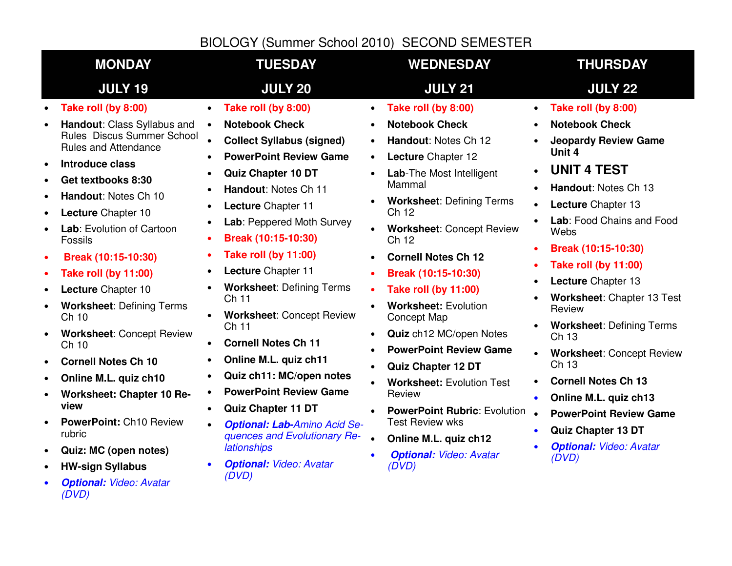# BIOLOGY (Summer School 2010) SECOND SEMESTER

| <b>JULY 19</b><br><b>JULY 20</b><br><b>JULY 21</b><br><b>JULY 22</b><br>Take roll (by 8:00)<br>Take roll (by 8:00)<br>Take roll (by 8:00)<br>Take roll (by 8:00)<br>$\bullet$<br>$\bullet$<br>$\bullet$<br>$\bullet$<br>Handout: Class Syllabus and<br><b>Notebook Check</b><br><b>Notebook Check</b><br><b>Notebook Check</b><br>$\bullet$<br>$\bullet$<br>$\bullet$<br>$\bullet$<br>Rules Discus Summer School<br><b>Collect Syllabus (signed)</b><br>Handout: Notes Ch 12<br>$\bullet$<br><b>Rules and Attendance</b><br>Unit 4<br><b>PowerPoint Review Game</b><br>Lecture Chapter 12<br>$\bullet$<br>$\bullet$<br><b>Introduce class</b><br>$\bullet$<br><b>UNIT 4 TEST</b><br>$\bullet$<br><b>Quiz Chapter 10 DT</b><br>Lab-The Most Intelligent<br>$\bullet$<br>$\bullet$<br>Get textbooks 8:30<br>$\bullet$<br>Mammal<br>Handout: Notes Ch 13<br>Handout: Notes Ch 11<br>$\bullet$<br>$\bullet$<br>Handout: Notes Ch 10<br>$\bullet$<br><b>Worksheet: Defining Terms</b><br>$\bullet$<br>Lecture Chapter 13<br>Lecture Chapter 11<br>$\bullet$<br>$\bullet$<br>Ch 12<br>Lecture Chapter 10<br>$\bullet$<br>Lab: Peppered Moth Survey<br>$\bullet$<br>$\bullet$<br>Lab: Evolution of Cartoon<br><b>Worksheet: Concept Review</b><br>$\bullet$<br>Webs<br>Break (10:15-10:30)<br>Fossils<br>$\bullet$<br>Ch 12<br>Break (10:15-10:30)<br>$\bullet$<br><b>Take roll (by 11:00)</b><br>$\bullet$<br>Break (10:15-10:30)<br><b>Cornell Notes Ch 12</b><br>$\bullet$<br>$\bullet$<br><b>Take roll (by 11:00)</b><br>$\bullet$<br>Lecture Chapter 11<br><b>Take roll (by 11:00)</b><br>Break (10:15-10:30)<br>$\bullet$<br>$\bullet$<br>Lecture Chapter 13<br>$\bullet$<br><b>Worksheet: Defining Terms</b><br>Lecture Chapter 10<br><b>Take roll (by 11:00)</b><br>$\bullet$<br>$\bullet$<br>Ch 11<br>$\bullet$<br><b>Worksheet: Defining Terms</b><br><b>Worksheet: Evolution</b><br>$\bullet$<br>$\bullet$<br>Review<br><b>Worksheet: Concept Review</b><br>Ch 10<br>Concept Map<br>$\bullet$<br>Ch 11<br><b>Worksheet: Concept Review</b><br>Quiz ch12 MC/open Notes<br>$\bullet$<br>$\bullet$<br>Ch 13<br><b>Cornell Notes Ch 11</b><br>Ch 10<br>$\bullet$<br><b>PowerPoint Review Game</b><br>$\bullet$<br>$\bullet$<br>Online M.L. quiz ch11<br><b>Cornell Notes Ch 10</b><br>$\bullet$<br>$\bullet$<br>Ch 13<br>Quiz Chapter 12 DT<br>$\bullet$<br>Quiz ch11: MC/open notes<br>Online M.L. quiz ch10<br>$\bullet$<br>$\bullet$<br><b>Cornell Notes Ch 13</b><br><b>Worksheet: Evolution Test</b><br>$\bullet$<br><b>PowerPoint Review Game</b><br>$\bullet$<br><b>Worksheet: Chapter 10 Re-</b><br>Review<br>$\bullet$<br>Online M.L. quiz ch13<br>$\bullet$<br>view<br>Quiz Chapter 11 DT<br>$\bullet$<br><b>PowerPoint Rubric: Evolution</b><br>$\bullet$<br><b>Test Review wks</b><br><b>PowerPoint: Ch10 Review</b><br>$\bullet$<br><b>Optional: Lab-Amino Acid Se-</b><br>$\bullet$<br><b>Quiz Chapter 13 DT</b><br>$\bullet$ | <b>MONDAY</b> | <b>TUESDAY</b>               | <b>WEDNESDAY</b>                   | <b>THURSDAY</b>                                                                                                                                                                                                                   |
|---------------------------------------------------------------------------------------------------------------------------------------------------------------------------------------------------------------------------------------------------------------------------------------------------------------------------------------------------------------------------------------------------------------------------------------------------------------------------------------------------------------------------------------------------------------------------------------------------------------------------------------------------------------------------------------------------------------------------------------------------------------------------------------------------------------------------------------------------------------------------------------------------------------------------------------------------------------------------------------------------------------------------------------------------------------------------------------------------------------------------------------------------------------------------------------------------------------------------------------------------------------------------------------------------------------------------------------------------------------------------------------------------------------------------------------------------------------------------------------------------------------------------------------------------------------------------------------------------------------------------------------------------------------------------------------------------------------------------------------------------------------------------------------------------------------------------------------------------------------------------------------------------------------------------------------------------------------------------------------------------------------------------------------------------------------------------------------------------------------------------------------------------------------------------------------------------------------------------------------------------------------------------------------------------------------------------------------------------------------------------------------------------------------------------------------------------------------------------------------------------------------------------------------------------------------------------------------------------------------------------------------------------------------------------------------------------------------------------------------------------------------------------------------------------------------------------------------------------------------------------------------------------------------------------------------------|---------------|------------------------------|------------------------------------|-----------------------------------------------------------------------------------------------------------------------------------------------------------------------------------------------------------------------------------|
|                                                                                                                                                                                                                                                                                                                                                                                                                                                                                                                                                                                                                                                                                                                                                                                                                                                                                                                                                                                                                                                                                                                                                                                                                                                                                                                                                                                                                                                                                                                                                                                                                                                                                                                                                                                                                                                                                                                                                                                                                                                                                                                                                                                                                                                                                                                                                                                                                                                                                                                                                                                                                                                                                                                                                                                                                                                                                                                                             |               |                              |                                    |                                                                                                                                                                                                                                   |
| <b>lationships</b><br>Quiz: MC (open notes)<br>$\bullet$<br><b>Optional: Video: Avatar</b><br>$\bullet$<br>(DVD)<br><b>Optional: Video: Avatar</b><br>$\bullet$<br>(DVD)<br><b>HW-sign Syllabus</b><br>$\bullet$<br>(DVD)<br><b>Optional: Video: Avatar</b><br>(DVD)                                                                                                                                                                                                                                                                                                                                                                                                                                                                                                                                                                                                                                                                                                                                                                                                                                                                                                                                                                                                                                                                                                                                                                                                                                                                                                                                                                                                                                                                                                                                                                                                                                                                                                                                                                                                                                                                                                                                                                                                                                                                                                                                                                                                                                                                                                                                                                                                                                                                                                                                                                                                                                                                        | rubric        | quences and Evolutionary Re- | Online M.L. quiz ch12<br>$\bullet$ | <b>Jeopardy Review Game</b><br>Lab: Food Chains and Food<br>Worksheet: Chapter 13 Test<br><b>Worksheet: Defining Terms</b><br><b>Worksheet: Concept Review</b><br><b>PowerPoint Review Game</b><br><b>Optional: Video: Avatar</b> |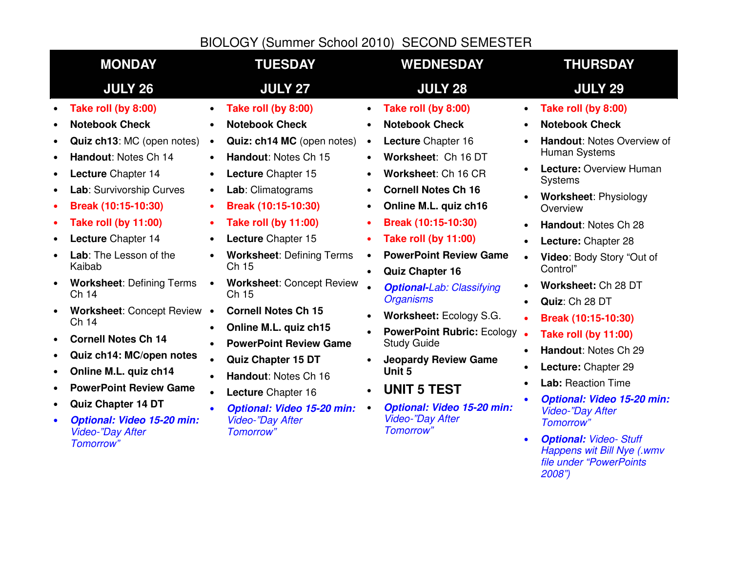# BIOLOGY (Summer School 2010) SECOND SEMESTER

|                                                                                              | <b>MONDAY</b>                                                                                                                                                                                                                                                                                                                                                                                                                                                                                                                                                                           | <b>TUESDAY</b>                                                                                                                                                                                                                                                                                                                                                                                                                                                                                                                                                                                                                | <b>WEDNESDAY</b>                                                                                                                                                                                                                                                                                                                                                                                                                                                                                                                                                                                                                                                 | <b>THURSDAY</b>                                                                                                                                                                                                                                                                                                                                                                                                                                                                                                                                                                                                                |
|----------------------------------------------------------------------------------------------|-----------------------------------------------------------------------------------------------------------------------------------------------------------------------------------------------------------------------------------------------------------------------------------------------------------------------------------------------------------------------------------------------------------------------------------------------------------------------------------------------------------------------------------------------------------------------------------------|-------------------------------------------------------------------------------------------------------------------------------------------------------------------------------------------------------------------------------------------------------------------------------------------------------------------------------------------------------------------------------------------------------------------------------------------------------------------------------------------------------------------------------------------------------------------------------------------------------------------------------|------------------------------------------------------------------------------------------------------------------------------------------------------------------------------------------------------------------------------------------------------------------------------------------------------------------------------------------------------------------------------------------------------------------------------------------------------------------------------------------------------------------------------------------------------------------------------------------------------------------------------------------------------------------|--------------------------------------------------------------------------------------------------------------------------------------------------------------------------------------------------------------------------------------------------------------------------------------------------------------------------------------------------------------------------------------------------------------------------------------------------------------------------------------------------------------------------------------------------------------------------------------------------------------------------------|
|                                                                                              | <b>JULY 26</b>                                                                                                                                                                                                                                                                                                                                                                                                                                                                                                                                                                          | <b>JULY 27</b>                                                                                                                                                                                                                                                                                                                                                                                                                                                                                                                                                                                                                | <b>JULY 28</b>                                                                                                                                                                                                                                                                                                                                                                                                                                                                                                                                                                                                                                                   | <b>JULY 29</b>                                                                                                                                                                                                                                                                                                                                                                                                                                                                                                                                                                                                                 |
| $\bullet$<br>$\bullet$<br>$\bullet$<br>٠<br>$\bullet$<br>$\bullet$<br>$\bullet$<br>$\bullet$ | Take roll (by 8:00)<br><b>Notebook Check</b><br>Quiz ch13: MC (open notes)<br>Handout: Notes Ch 14<br>Lecture Chapter 14<br>Lab: Survivorship Curves<br>Break (10:15-10:30)<br><b>Take roll (by 11:00)</b><br>Lecture Chapter 14<br>Lab: The Lesson of the<br>Kaibab<br><b>Worksheet: Defining Terms</b><br>Ch 14<br>Worksheet: Concept Review .<br>Ch 14<br><b>Cornell Notes Ch 14</b><br>Quiz ch14: MC/open notes<br>Online M.L. quiz ch14<br><b>PowerPoint Review Game</b><br><b>Quiz Chapter 14 DT</b><br><b>Optional: Video 15-20 min:</b><br><b>Video-"Day After</b><br>Tomorrow" | Take roll (by 8:00)<br><b>Notebook Check</b><br>Quiz: ch14 MC (open notes)<br>$\bullet$<br>Handout: Notes Ch 15<br>Lecture Chapter 15<br>$\bullet$<br>Lab: Climatograms<br>$\bullet$<br>Break (10:15-10:30)<br><b>Take roll (by 11:00)</b><br>Lecture Chapter 15<br><b>Worksheet: Defining Terms</b><br>Ch 15<br><b>Worksheet: Concept Review</b><br>$\bullet$<br>Ch 15<br><b>Cornell Notes Ch 15</b><br>Online M.L. quiz ch15<br><b>PowerPoint Review Game</b><br>Quiz Chapter 15 DT<br>Handout: Notes Ch 16<br>Lecture Chapter 16<br>$\bullet$<br><b>Optional: Video 15-20 min:</b><br><b>Video-"Day After</b><br>Tomorrow" | Take roll (by 8:00)<br><b>Notebook Check</b><br>Lecture Chapter 16<br>$\bullet$<br>Worksheet: Ch 16 DT<br>Worksheet: Ch 16 CR<br><b>Cornell Notes Ch 16</b><br>$\bullet$<br>Online M.L. quiz ch16<br>$\bullet$<br>Break (10:15-10:30)<br><b>Take roll (by 11:00)</b><br><b>PowerPoint Review Game</b><br><b>Quiz Chapter 16</b><br>$\bullet$<br><b>Optional-Lab: Classifying</b><br><b>Organisms</b><br>Worksheet: Ecology S.G.<br>$\bullet$<br><b>PowerPoint Rubric: Ecology</b><br><b>Study Guide</b><br><b>Jeopardy Review Game</b><br>Unit 5<br><b>UNIT 5 TEST</b><br>$\bullet$<br><b>Optional: Video 15-20 min:</b><br><b>Video-"Day After</b><br>Tomorrow" | Take roll (by 8:00)<br><b>Notebook Check</b><br>Handout: Notes Overview of<br>Human Systems<br>Lecture: Overview Human<br>Systems<br><b>Worksheet: Physiology</b><br>Overview<br>Handout: Notes Ch 28<br>$\bullet$<br>Lecture: Chapter 28<br>Video: Body Story "Out of<br>Control"<br>Worksheet: Ch 28 DT<br>Quiz: Ch 28 DT<br>Break (10:15-10:30)<br><b>Take roll (by 11:00)</b><br>Handout: Notes Ch 29<br>Lecture: Chapter 29<br><b>Lab: Reaction Time</b><br><b>Optional: Video 15-20 min:</b><br><b>Video-"Day After</b><br><b>Tomorrow</b> "<br><b>Optional: Video- Stuff</b><br>$\bullet$<br>Happens wit Bill Nye (.wmv |
|                                                                                              |                                                                                                                                                                                                                                                                                                                                                                                                                                                                                                                                                                                         |                                                                                                                                                                                                                                                                                                                                                                                                                                                                                                                                                                                                                               |                                                                                                                                                                                                                                                                                                                                                                                                                                                                                                                                                                                                                                                                  | file under "PowerPoints<br>2008")                                                                                                                                                                                                                                                                                                                                                                                                                                                                                                                                                                                              |